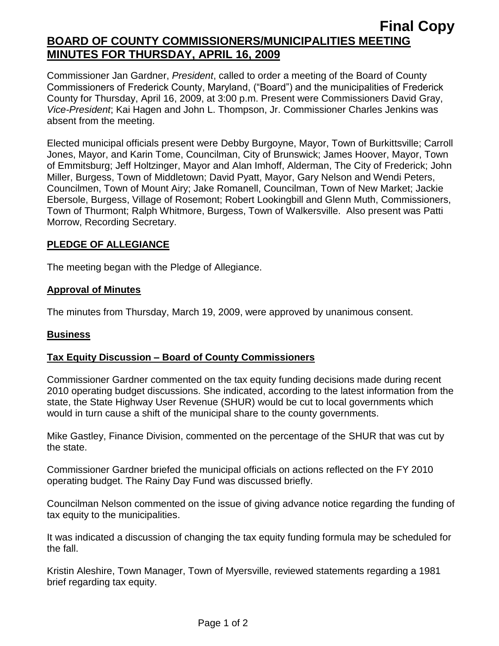# **Final Copy BOARD OF COUNTY COMMISSIONERS/MUNICIPALITIES MEETING MINUTES FOR THURSDAY, APRIL 16, 2009**

Commissioner Jan Gardner, *President*, called to order a meeting of the Board of County Commissioners of Frederick County, Maryland, ("Board") and the municipalities of Frederick County for Thursday, April 16, 2009, at 3:00 p.m. Present were Commissioners David Gray, *Vice-President*; Kai Hagen and John L. Thompson, Jr. Commissioner Charles Jenkins was absent from the meeting.

Elected municipal officials present were Debby Burgoyne, Mayor, Town of Burkittsville; Carroll Jones, Mayor, and Karin Tome, Councilman, City of Brunswick; James Hoover, Mayor, Town of Emmitsburg; Jeff Holtzinger, Mayor and Alan Imhoff, Alderman, The City of Frederick; John Miller, Burgess, Town of Middletown; David Pyatt, Mayor, Gary Nelson and Wendi Peters, Councilmen, Town of Mount Airy; Jake Romanell, Councilman, Town of New Market; Jackie Ebersole, Burgess, Village of Rosemont; Robert Lookingbill and Glenn Muth, Commissioners, Town of Thurmont; Ralph Whitmore, Burgess, Town of Walkersville. Also present was Patti Morrow, Recording Secretary.

### **PLEDGE OF ALLEGIANCE**

The meeting began with the Pledge of Allegiance.

#### **Approval of Minutes**

The minutes from Thursday, March 19, 2009, were approved by unanimous consent.

#### **Business**

## **Tax Equity Discussion – Board of County Commissioners**

Commissioner Gardner commented on the tax equity funding decisions made during recent 2010 operating budget discussions. She indicated, according to the latest information from the state, the State Highway User Revenue (SHUR) would be cut to local governments which would in turn cause a shift of the municipal share to the county governments.

Mike Gastley, Finance Division, commented on the percentage of the SHUR that was cut by the state.

Commissioner Gardner briefed the municipal officials on actions reflected on the FY 2010 operating budget. The Rainy Day Fund was discussed briefly.

Councilman Nelson commented on the issue of giving advance notice regarding the funding of tax equity to the municipalities.

It was indicated a discussion of changing the tax equity funding formula may be scheduled for the fall.

Kristin Aleshire, Town Manager, Town of Myersville, reviewed statements regarding a 1981 brief regarding tax equity.